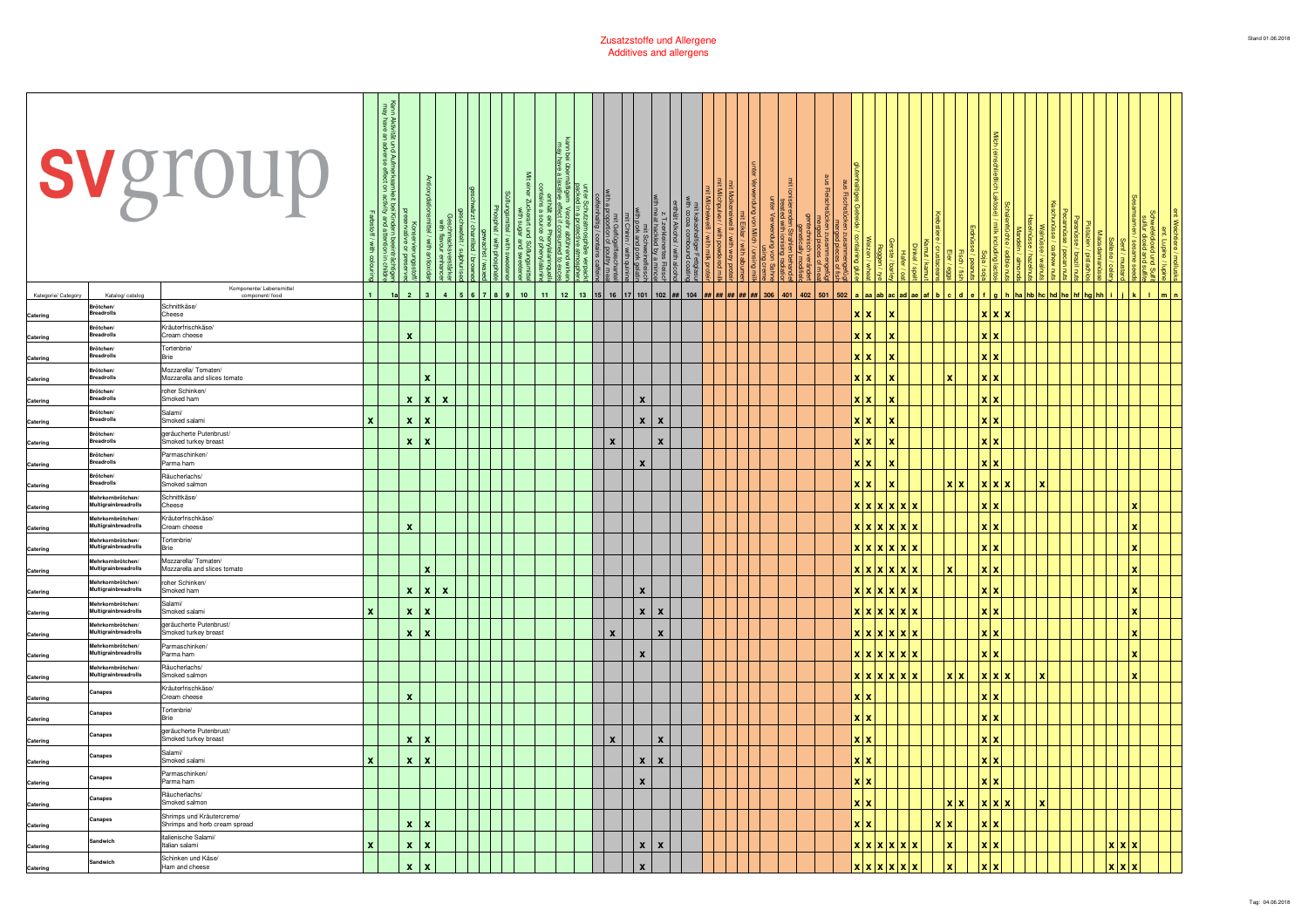|                     |                                                               | svgroup                                                     | Farbstoff<br>with col | 줄 풀<br>ឌី ឌ<br>und Aufmerksa<br>adverse effect<br>§ ∃<br>Kinde<br>and<br>う | ξğ<br>$\lvert$ $\lvert$ $\lvert$ $\lvert$ | Geschmacksverst<br>with flavour enha      |  | / with phos | $\leq$<br>Johana Lund<br>Sared # |        |        | ייינס[עריכת   שמיינס   שמיינס   שמיינס   שמיינס<br>  שמיינס   שמיינס   שמיינס   שמיינס   שמיינס   שמיינס   שמיינס<br>  אין שמיינס   שמיינס   שמיינס   שמיינס   שמיינס   שמיינס   שמיינס  <br>  אין שמיינס   שמיינס   שמיינס   שמיינס | meat<br>Schn<br>sand             | Alkoho<br>- zerklei                                                                  | 言 | $\leq$ | von Milch | ed with ioni<br>Verwendur | l,<br><b>Proden Strahlen</b> | Fleisch         |            |                 |                       |     |                    |                       |                                                       | Walr |  |              |  |  |
|---------------------|---------------------------------------------------------------|-------------------------------------------------------------|-----------------------|----------------------------------------------------------------------------|-------------------------------------------|-------------------------------------------|--|-------------|----------------------------------|--------|--------|--------------------------------------------------------------------------------------------------------------------------------------------------------------------------------------------------------------------------------------|----------------------------------|--------------------------------------------------------------------------------------|---|--------|-----------|---------------------------|------------------------------|-----------------|------------|-----------------|-----------------------|-----|--------------------|-----------------------|-------------------------------------------------------|------|--|--------------|--|--|
| Kategorie/ Category | Katalog/catalog                                               | Komponente/ Lebensmitte<br>component/ food                  |                       | 1a                                                                         | $\overline{2}$                            | $\overline{\mathbf{3}}$<br>$\overline{a}$ |  | l 8         | ${\bf 10}$                       | $11 -$ | $12\,$ |                                                                                                                                                                                                                                      |                                  | 13   15   16   17   101   102   ##   104   <mark>##   ##   ##   ##   ##  </mark> 306 |   |        |           |                           |                              | 401 402 501 502 |            |                 | a aa ab ac ad ae af b |     |                    |                       | g   h   ha   hb   hc   hd   he   hf   hg   hh   i   j |      |  | l ki         |  |  |
| Catering            | Brötchen/<br>eadrolls                                         | Schnittkäse/<br>Cheese                                      |                       |                                                                            |                                           |                                           |  |             |                                  |        |        |                                                                                                                                                                                                                                      |                                  |                                                                                      |   |        |           |                           |                              |                 | xixi       |                 |                       |     |                    | x x                   |                                                       |      |  |              |  |  |
| Catering            | <b>Brötchen</b><br>adrolls                                    | Kräuterfrischkäse/<br>Cream cheese                          |                       |                                                                            | $\pmb{\chi}$                              |                                           |  |             |                                  |        |        |                                                                                                                                                                                                                                      |                                  |                                                                                      |   |        |           |                           |                              |                 | xlx        |                 |                       |     |                    | X X                   |                                                       |      |  |              |  |  |
| Catering            | Brötchen<br>adrolls                                           | Tortenbrie<br><b>Brie</b>                                   |                       |                                                                            |                                           |                                           |  |             |                                  |        |        |                                                                                                                                                                                                                                      |                                  |                                                                                      |   |        |           |                           |                              |                 | <b>XX</b>  |                 |                       |     |                    | x x                   |                                                       |      |  |              |  |  |
| Catering            | Brötchen<br>eadrolls                                          | Mozzarella/ Tomaten/<br>Mozzarella and slices tomato        |                       |                                                                            |                                           | $\mathbf{x}$                              |  |             |                                  |        |        |                                                                                                                                                                                                                                      |                                  |                                                                                      |   |        |           |                           |                              |                 | <b>XX</b>  |                 |                       |     |                    | x x                   |                                                       |      |  |              |  |  |
| Catering            | ötchen<br>eadrolls                                            | roher Schinken<br>Smoked ham                                |                       |                                                                            | $\mathbf{x}$                              | $\mathbf{x}$<br>$\mathbf{x}$              |  |             |                                  |        |        |                                                                                                                                                                                                                                      | $\boldsymbol{\mathsf{x}}$        |                                                                                      |   |        |           |                           |                              |                 | <b>XX</b>  |                 |                       |     |                    | x x                   |                                                       |      |  |              |  |  |
| Catering            | ötchen<br>readrolls                                           | Salami/<br>Smoked salami                                    | x                     |                                                                            | $\mathbf{x}$                              | $\mathbf x$                               |  |             |                                  |        |        |                                                                                                                                                                                                                                      | $\pmb{\chi}$                     | $\boldsymbol{x}$                                                                     |   |        |           |                           |                              |                 | <b>XX</b>  |                 |                       |     |                    | x x                   |                                                       |      |  |              |  |  |
|                     | ötchen<br>Breadrolls                                          | geräucherte Putenbrust/<br>Smoked turkey breast             |                       |                                                                            | $x \mid x$                                |                                           |  |             |                                  |        |        | $\mathbf{x}$                                                                                                                                                                                                                         |                                  | $\mathbf{x}$                                                                         |   |        |           |                           |                              |                 | xlx        |                 |                       |     |                    | x x                   |                                                       |      |  |              |  |  |
| Catering            | ötchen<br>eadrolls                                            | Parmaschinken/<br>Parma ham                                 |                       |                                                                            |                                           |                                           |  |             |                                  |        |        |                                                                                                                                                                                                                                      | $\boldsymbol{x}$                 |                                                                                      |   |        |           |                           |                              |                 | xixi       |                 |                       |     |                    | x x                   |                                                       |      |  |              |  |  |
| Catering            | rötchen/<br>eadrolls                                          | Räucherlachs/                                               |                       |                                                                            |                                           |                                           |  |             |                                  |        |        |                                                                                                                                                                                                                                      |                                  |                                                                                      |   |        |           |                           |                              |                 |            |                 |                       |     |                    | x x x                 |                                                       |      |  |              |  |  |
| Catering            | Mehrkornbrötchen<br>Multigrainbreadrolls                      | Smoked salmon<br>Schnittkäse/                               |                       |                                                                            |                                           |                                           |  |             |                                  |        |        |                                                                                                                                                                                                                                      |                                  |                                                                                      |   |        |           |                           |                              |                 |            | x x x x         |                       | lх  |                    | x x                   |                                                       |      |  | $\mathbf{x}$ |  |  |
| Catering            | <b>Jhrkornhrätcher</b>                                        | Cheese<br>Kräuterfrischkäse/                                |                       |                                                                            |                                           |                                           |  |             |                                  |        |        |                                                                                                                                                                                                                                      |                                  |                                                                                      |   |        |           |                           |                              |                 |            |                 |                       |     |                    |                       |                                                       |      |  |              |  |  |
| Catering            | Multigrainbreadrolls<br>ahrkornhrätcher                       | Cream cheese<br>Tortenbrie                                  |                       |                                                                            | $\boldsymbol{x}$                          |                                           |  |             |                                  |        |        |                                                                                                                                                                                                                                      |                                  |                                                                                      |   |        |           |                           |                              |                 |            | x x x x x x x   |                       |     |                    | x x                   |                                                       |      |  | $\mathbf x$  |  |  |
| Catering            | Multigrainbreadrolls<br>rkornbrötcher<br>Multigrainbreadrolls | 3rie<br>Mozzarella/Tomaten/<br>Mozzarella and slices tomato |                       |                                                                            |                                           | $\mathbf{x}$                              |  |             |                                  |        |        |                                                                                                                                                                                                                                      |                                  |                                                                                      |   |        |           |                           |                              |                 |            | x x x <br>x x x |                       |     |                    | x x<br>x x            |                                                       |      |  |              |  |  |
| Catering            | lehrkornbrötcheı                                              | roher Schinken/                                             |                       |                                                                            |                                           |                                           |  |             |                                  |        |        |                                                                                                                                                                                                                                      |                                  |                                                                                      |   |        |           |                           |                              |                 |            |                 |                       |     |                    |                       |                                                       |      |  |              |  |  |
| Catering            | Multigrainbreadrolls<br>lehrkornbrötchen                      | Smoked ham<br>Salami/                                       |                       |                                                                            |                                           | x  x <br>$\mathbf{x}$                     |  |             |                                  |        |        |                                                                                                                                                                                                                                      | $\pmb{\chi}$                     |                                                                                      |   |        |           |                           |                              |                 |            | x x x           |                       |     |                    | x x                   |                                                       |      |  |              |  |  |
| Catering            | Multigrainbreadrolls<br>Mehrkornbrötchen                      | Smoked salami<br>geräucherte Putenbrust/                    |                       |                                                                            | $\pmb{\mathsf{x}}$                        | X                                         |  |             |                                  |        |        |                                                                                                                                                                                                                                      | $\boldsymbol{x}$<br>$\mathbf{X}$ |                                                                                      |   |        |           |                           |                              |                 |            | x x x           |                       |     |                    | x x                   |                                                       |      |  | x            |  |  |
| Catering            | Multigrainbreadrolls<br><b>Ahrkornbrötcher</b>                | Smoked turkey breast<br>Parmaschinken                       |                       |                                                                            | $x \mid x$                                |                                           |  |             |                                  |        |        | $\boldsymbol{x}$                                                                                                                                                                                                                     |                                  | $\mathbf{x}$                                                                         |   |        |           |                           |                              |                 |            | x x x x x       |                       |     |                    | x x                   |                                                       |      |  | x            |  |  |
| Catering            | Multigrainbreadrolls<br>ehrkornbrötcher                       | Parma ham<br>Räucherlachs/                                  |                       |                                                                            |                                           |                                           |  |             |                                  |        |        |                                                                                                                                                                                                                                      | $\boldsymbol{x}$                 |                                                                                      |   |        |           |                           |                              |                 |            |                 |                       |     |                    | x x                   |                                                       |      |  | x            |  |  |
| Catering            | Multigrainbreadrolls                                          | Smoked salmon<br>Kräuterfrischkäse/                         |                       |                                                                            |                                           |                                           |  |             |                                  |        |        |                                                                                                                                                                                                                                      |                                  |                                                                                      |   |        |           |                           |                              |                 |            | <b>XXXXXXX</b>  |                       |     |                    | x x x                 |                                                       |      |  | $\mathbf x$  |  |  |
| Catering            | anapes:                                                       | Cream cheese<br>Tortenbrie/                                 |                       |                                                                            | $\pmb{\chi}$                              |                                           |  |             |                                  |        |        |                                                                                                                                                                                                                                      |                                  |                                                                                      |   |        |           |                           |                              |                 | xlx        |                 |                       |     |                    | x x                   |                                                       |      |  |              |  |  |
| Catering            | Canapes                                                       | Brie<br>geräucherte Putenbrust/                             |                       |                                                                            |                                           |                                           |  |             |                                  |        |        |                                                                                                                                                                                                                                      |                                  |                                                                                      |   |        |           |                           |                              |                 | xlx        |                 |                       |     |                    | x x                   |                                                       |      |  |              |  |  |
| Catering            | mapes                                                         | Smoked turkey breast                                        |                       |                                                                            | $\pmb{\chi}$                              | X                                         |  |             |                                  |        |        | $\boldsymbol{\mathsf{x}}$                                                                                                                                                                                                            |                                  | $\mathbf{x}$                                                                         |   |        |           |                           |                              |                 | x x        |                 |                       |     |                    | x x                   |                                                       |      |  |              |  |  |
| Catering            | napes                                                         | Salami/<br>Smoked salami                                    | x                     |                                                                            | $x \mid x$                                |                                           |  |             |                                  |        |        |                                                                                                                                                                                                                                      | $\boldsymbol{x}$                 | $\pmb{\chi}$                                                                         |   |        |           |                           |                              |                 | xlx        |                 |                       |     |                    | x x                   |                                                       |      |  |              |  |  |
| Catering            | anapes                                                        | Parmaschinken/<br>Parma ham                                 |                       |                                                                            |                                           |                                           |  |             |                                  |        |        |                                                                                                                                                                                                                                      | $\boldsymbol{x}$                 |                                                                                      |   |        |           |                           |                              |                 | xlx        |                 |                       |     |                    | xlx                   |                                                       |      |  |              |  |  |
| Catering            | anapes                                                        | Räucherlachs/<br>Smoked salmon                              |                       |                                                                            |                                           |                                           |  |             |                                  |        |        |                                                                                                                                                                                                                                      |                                  |                                                                                      |   |        |           |                           |                              |                 | x x        |                 |                       |     |                    | x x x                 |                                                       |      |  |              |  |  |
| Catering            | anapes                                                        | Shrimps und Kräutercreme/<br>Shrimps and herb cream spread  |                       |                                                                            | $\mathbf{x}$                              | l x                                       |  |             |                                  |        |        |                                                                                                                                                                                                                                      |                                  |                                                                                      |   |        |           |                           |                              |                 | <b>x</b> x |                 |                       | x x |                    | <b>x</b> <sub>x</sub> |                                                       |      |  |              |  |  |
| Catering            | andwich                                                       | italienische Salami.<br>Italian salami                      | x                     |                                                                            | $x \mid x$                                |                                           |  |             |                                  |        |        |                                                                                                                                                                                                                                      | x                                | $\pmb{\chi}$                                                                         |   |        |           |                           |                              |                 |            | x x x           |                       |     |                    | x x                   |                                                       |      |  | x x          |  |  |
| Catering            | iandwich                                                      | Schinken und Käse/<br>Ham and cheese                        |                       |                                                                            | $\pmb{\mathsf{x}}$                        | $\boldsymbol{\mathsf{x}}$                 |  |             |                                  |        |        |                                                                                                                                                                                                                                      |                                  |                                                                                      |   |        |           |                           |                              |                 |            | X X X X X       |                       |     | $\pmb{\mathsf{x}}$ |                       |                                                       |      |  | x x          |  |  |
|                     |                                                               |                                                             |                       |                                                                            |                                           |                                           |  |             |                                  |        |        |                                                                                                                                                                                                                                      |                                  |                                                                                      |   |        |           |                           |                              |                 |            |                 |                       |     |                    |                       |                                                       |      |  |              |  |  |

<u> a shekara ta 1989 a shekara tsa a shekara tsa a shekara tsa a shekara tsa a shekara tsa a shekara tsa a shekara tsa a shekara tsa a shekara tsa a shekara tsa a shekara tsa a shekara tsa a shekara tsa a shekara tsa a shek</u>

 $\mathbf{r}$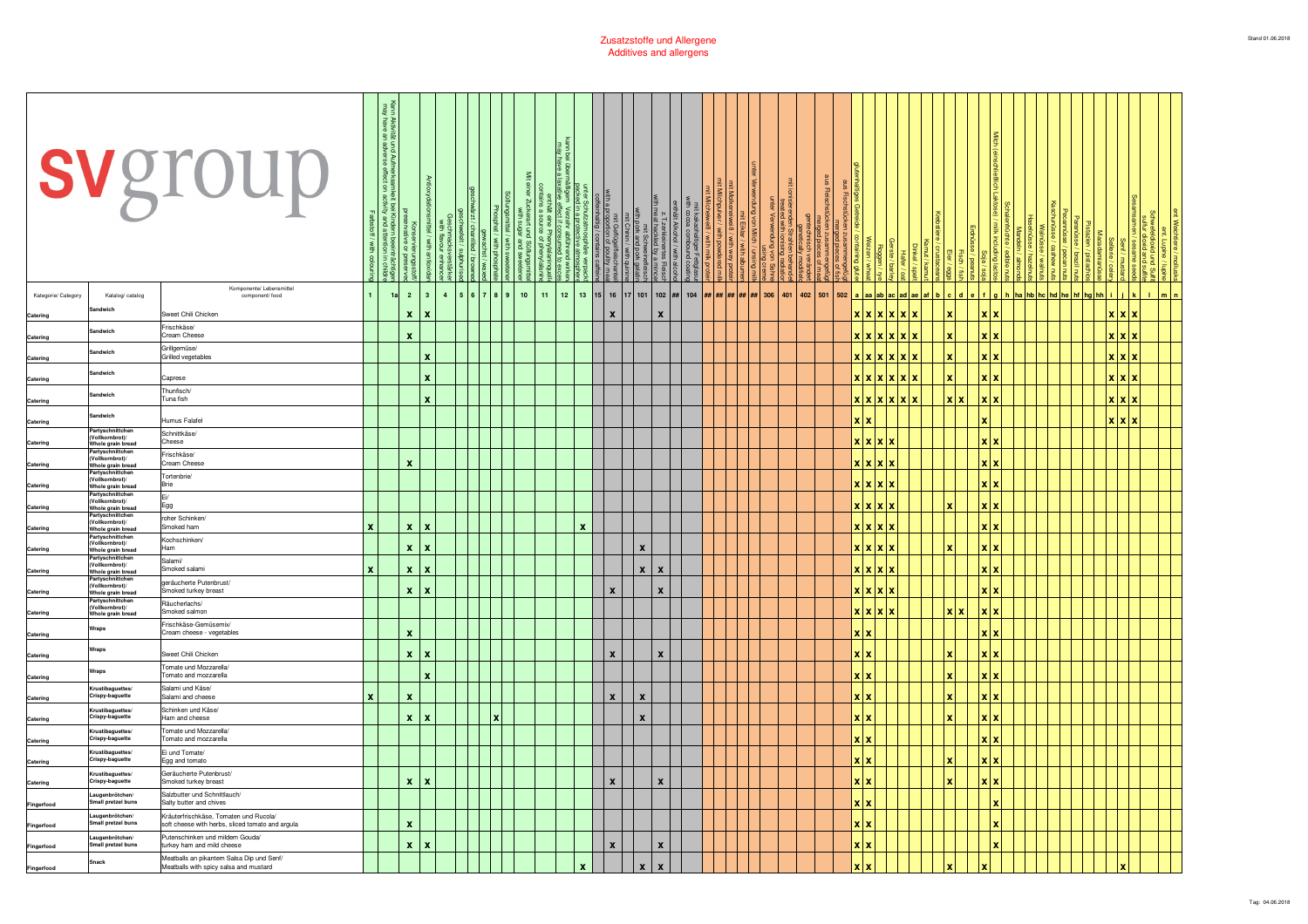|                     |                                                                                                                                                                                                                                                                                                                                                                                                      | svgroup                                                                                    | / with cold | <b>Aktiv</b><br>have<br>鸟草<br>und Aufmerksa<br>adverse effect<br>is 5<br>is and<br>흑 |                    |                           | nmacksverstärke<br>I flavour enhance |     |     | $\leq$<br>7uckerart und :<br>with sugar a<br>ಇ ಕೆ |        | a protective<br>erzehr abfür<br>sct if consun<br>t source of p<br>source of p |              |           | mit Geflügelfleischa<br>with a proportion of poultry r<br>coffeinhaltig / contains caft | $\Omega$<br>t Schweineflei<br>< and pork gel |              |                                |                                        | $\overline{\text{M}}$ | ied with ioni<br>Verwendur | 目           | Fleisch |       |                        |  |              |                       |             | Walr                    |  |       | ≌ :          |                |
|---------------------|------------------------------------------------------------------------------------------------------------------------------------------------------------------------------------------------------------------------------------------------------------------------------------------------------------------------------------------------------------------------------------------------------|--------------------------------------------------------------------------------------------|-------------|--------------------------------------------------------------------------------------|--------------------|---------------------------|--------------------------------------|-----|-----|---------------------------------------------------|--------|-------------------------------------------------------------------------------|--------------|-----------|-----------------------------------------------------------------------------------------|----------------------------------------------|--------------|--------------------------------|----------------------------------------|-----------------------|----------------------------|-------------|---------|-------|------------------------|--|--------------|-----------------------|-------------|-------------------------|--|-------|--------------|----------------|
| Kategorie/ Category | Katalog/ catalog<br><b>indwict</b>                                                                                                                                                                                                                                                                                                                                                                   | Komponente/ Lebensmittel<br>component/ food                                                |             | 1a                                                                                   | $\overline{2}$     | $\overline{\mathbf{3}}$   | $\overline{4}$                       | 567 | 8 9 | $10$                                              | $11 -$ | $12\,$                                                                        |              | $13$   15 |                                                                                         |                                              |              | 16   17   101   102   ##   104 | $\#$ # # $\#$ # $\#$ # $\#$ + $\#$ 306 |                       |                            | 401 402 501 | 502     |       | a a a ab ac ad ae af b |  | $c$ d        |                       | fgh         | ha hb hc hd he hf hg hh |  |       | $\mathbf{L}$ | m <sub>1</sub> |
| Catering            | andwich                                                                                                                                                                                                                                                                                                                                                                                              | Sweet Chili Chicken<br>Frischkäse/                                                         |             |                                                                                      | $\pmb{\mathsf{x}}$ | $\mathbf x$               |                                      |     |     |                                                   |        |                                                                               |              |           | x                                                                                       |                                              | $\mathbf{x}$ |                                |                                        |                       |                            |             |         |       | xxxxxxx                |  |              | x x                   |             |                         |  | x x x |              |                |
| Catering            |                                                                                                                                                                                                                                                                                                                                                                                                      | Cream Cheese<br>Grillaemüse/                                                               |             |                                                                                      | $\pmb{\mathsf{x}}$ |                           |                                      |     |     |                                                   |        |                                                                               |              |           |                                                                                         |                                              |              |                                |                                        |                       |                            |             |         |       | <b>x x x x x x</b>     |  |              | xx                    |             |                         |  | x x   |              |                |
| Catering            | andwich                                                                                                                                                                                                                                                                                                                                                                                              | Grilled vegetables                                                                         |             |                                                                                      |                    | $\boldsymbol{\mathsf{x}}$ |                                      |     |     |                                                   |        |                                                                               |              |           |                                                                                         |                                              |              |                                |                                        |                       |                            |             |         |       |                        |  |              | <b>x</b> <sub>x</sub> |             |                         |  | x x   |              |                |
| Catering            | andwich                                                                                                                                                                                                                                                                                                                                                                                              | Caprese                                                                                    |             |                                                                                      |                    | x                         |                                      |     |     |                                                   |        |                                                                               |              |           |                                                                                         |                                              |              |                                |                                        |                       |                            |             |         |       |                        |  |              | <b>XX</b>             |             |                         |  | x x x |              |                |
| Catering            | ındwich                                                                                                                                                                                                                                                                                                                                                                                              | Thunfisch<br>Tuna fish                                                                     |             |                                                                                      |                    | X                         |                                      |     |     |                                                   |        |                                                                               |              |           |                                                                                         |                                              |              |                                |                                        |                       |                            |             |         |       | x x x x x x            |  | xlx          | l x i x               |             |                         |  | x x x |              |                |
| Catering            | indwich                                                                                                                                                                                                                                                                                                                                                                                              | Humus Falafel                                                                              |             |                                                                                      |                    |                           |                                      |     |     |                                                   |        |                                                                               |              |           |                                                                                         |                                              |              |                                |                                        |                       |                            |             |         | xlx   |                        |  |              | $\mathbf{x}$          |             |                         |  | x x   |              |                |
|                     | Partyschnittchen<br>(Vollkornbrot)/                                                                                                                                                                                                                                                                                                                                                                  | Schnittkäse/<br>Cheese                                                                     |             |                                                                                      |                    |                           |                                      |     |     |                                                   |        |                                                                               |              |           |                                                                                         |                                              |              |                                |                                        |                       |                            |             |         |       | xxxx                   |  |              | x x                   |             |                         |  |       |              |                |
| Catering            | hole grain bread<br>Vollkornbrot)/                                                                                                                                                                                                                                                                                                                                                                   | Frischkäse/                                                                                |             |                                                                                      |                    |                           |                                      |     |     |                                                   |        |                                                                               |              |           |                                                                                         |                                              |              |                                |                                        |                       |                            |             |         |       |                        |  |              |                       |             |                         |  |       |              |                |
| Catering            | ole grain bread<br>Partyschnittche                                                                                                                                                                                                                                                                                                                                                                   | Cream Cheese                                                                               |             |                                                                                      | $\mathbf{x}$       |                           |                                      |     |     |                                                   |        |                                                                               |              |           |                                                                                         |                                              |              |                                |                                        |                       |                            |             |         |       | <b>xxxx</b>            |  |              | x x                   |             |                         |  |       |              |                |
| Catering            | ollkornbrot)/<br><b>Whole grain bread</b>                                                                                                                                                                                                                                                                                                                                                            | Tortenbrie/<br>Brie                                                                        |             |                                                                                      |                    |                           |                                      |     |     |                                                   |        |                                                                               |              |           |                                                                                         |                                              |              |                                |                                        |                       |                            |             |         |       | xixix                  |  |              | xlx                   |             |                         |  |       |              |                |
| Catering            | Partyschni<br>nikornbrot)<br>/hole grain bread                                                                                                                                                                                                                                                                                                                                                       | Egg                                                                                        |             |                                                                                      |                    |                           |                                      |     |     |                                                   |        |                                                                               |              |           |                                                                                         |                                              |              |                                |                                        |                       |                            |             |         |       | xixixix                |  |              | $x$ $x$               |             |                         |  |       |              |                |
|                     | Partyschnittcher<br>ollkornbrot)                                                                                                                                                                                                                                                                                                                                                                     | roher Schinken/<br>Smoked ham                                                              |             |                                                                                      |                    | $\mathbf{x}$              |                                      |     |     |                                                   |        |                                                                               | $\pmb{\chi}$ |           |                                                                                         |                                              |              |                                |                                        |                       |                            |             |         |       | xixix                  |  |              | xlx                   |             |                         |  |       |              |                |
| Catering            | Whole grain bread<br>Partyschnittcher<br>ollkornbrot)                                                                                                                                                                                                                                                                                                                                                | Kochschinken/                                                                              |             |                                                                                      | $\pmb{\mathsf{x}}$ |                           |                                      |     |     |                                                   |        |                                                                               |              |           |                                                                                         |                                              |              |                                |                                        |                       |                            |             |         |       |                        |  |              |                       |             |                         |  |       |              |                |
| Catering            | .<br>Whole grain bread                                                                                                                                                                                                                                                                                                                                                                               | Ham<br>Salami/                                                                             |             |                                                                                      | $\pmb{\mathsf{x}}$ | $\mathbf x$               |                                      |     |     |                                                   |        |                                                                               |              |           |                                                                                         | $\boldsymbol{x}$                             |              |                                |                                        |                       |                            |             |         |       | xxxxx                  |  |              | <b>x</b> <sub>x</sub> |             |                         |  |       |              |                |
| Catering            | (Vollkornbrot)<br>Vhole grain bread<br>artyschnittcher                                                                                                                                                                                                                                                                                                                                               | Smoked salami                                                                              | x           |                                                                                      | $\mathbf{x}$       | l x                       |                                      |     |     |                                                   |        |                                                                               |              |           |                                                                                         | $\mathbf{x}$                                 | $\mathbf{x}$ |                                |                                        |                       |                            |             |         |       | xxxx                   |  |              | x x                   |             |                         |  |       |              |                |
| Catering            | Vollkornbrot)/<br>hole grain bread                                                                                                                                                                                                                                                                                                                                                                   | geräucherte Putenbrust/<br>Smoked turkey breast                                            |             |                                                                                      |                    | $x \mid x$                |                                      |     |     |                                                   |        |                                                                               |              |           | $\boldsymbol{\mathsf{x}}$                                                               |                                              | $\mathbf{x}$ |                                |                                        |                       |                            |             |         |       | xxxxx                  |  |              | <b>x</b> <sub>x</sub> |             |                         |  |       |              |                |
| Catering            | Partyschnittcher<br>/ollkornbrot)/<br>Whole grain bread                                                                                                                                                                                                                                                                                                                                              | Räucherlachs/<br>Smoked salmon                                                             |             |                                                                                      |                    |                           |                                      |     |     |                                                   |        |                                                                               |              |           |                                                                                         |                                              |              |                                |                                        |                       |                            |             |         |       | $X$ $X$ $X$            |  | <b>XX</b>    | x x                   |             |                         |  |       |              |                |
| Catering            | Wraps                                                                                                                                                                                                                                                                                                                                                                                                | Frischkäse-Gemüsemix/<br>Cream cheese - vegetables                                         |             |                                                                                      | $\pmb{\mathsf{x}}$ |                           |                                      |     |     |                                                   |        |                                                                               |              |           |                                                                                         |                                              |              |                                |                                        |                       |                            |             |         | x x   |                        |  |              | x x                   |             |                         |  |       |              |                |
|                     | Wraps                                                                                                                                                                                                                                                                                                                                                                                                | Sweet Chili Chicken                                                                        |             |                                                                                      |                    | $x \mid x$                |                                      |     |     |                                                   |        |                                                                               |              |           | $\boldsymbol{x}$                                                                        |                                              | $\mathbf{x}$ |                                |                                        |                       |                            |             |         |       | xlx                    |  |              | <b>x</b> <sub>x</sub> |             |                         |  |       |              |                |
| Catering            | Wraps                                                                                                                                                                                                                                                                                                                                                                                                | Tomate und Mozzarella/                                                                     |             |                                                                                      |                    |                           |                                      |     |     |                                                   |        |                                                                               |              |           |                                                                                         |                                              |              |                                |                                        |                       |                            |             |         |       |                        |  |              |                       |             |                         |  |       |              |                |
| Catering            | <rustibaguettes< td=""><td>Tomato and mozzarella<br/>Salami und Käse/</td><td></td><td></td><td></td><td>X</td><td></td><td></td><td></td><td></td><td></td><td></td><td></td><td></td><td></td><td></td><td></td><td></td><td></td><td></td><td></td><td></td><td></td><td>xlx</td><td></td><td></td><td>x</td><td>x x</td><td></td><td></td><td></td><td></td><td></td><td></td></rustibaguettes<> | Tomato and mozzarella<br>Salami und Käse/                                                  |             |                                                                                      |                    | X                         |                                      |     |     |                                                   |        |                                                                               |              |           |                                                                                         |                                              |              |                                |                                        |                       |                            |             |         | xlx   |                        |  | x            | x x                   |             |                         |  |       |              |                |
| Catering            | Crispy-baguette<br>rustibaquettes                                                                                                                                                                                                                                                                                                                                                                    | Salami and cheese<br>Schinken und Käse/                                                    | x           |                                                                                      | $\pmb{\mathsf{x}}$ |                           |                                      |     |     |                                                   |        |                                                                               |              |           | $\boldsymbol{x}$                                                                        | $\boldsymbol{x}$                             |              |                                |                                        |                       |                            |             |         | xlx   |                        |  | $\mathbf{x}$ | <b>xx</b>             |             |                         |  |       |              |                |
| Catering            | Crispy-baguette<br>rustibaquettes                                                                                                                                                                                                                                                                                                                                                                    | Ham and cheese<br>Tomate und Mozzarella/                                                   |             |                                                                                      |                    | $x \mid x$                |                                      |     | ١x  |                                                   |        |                                                                               |              |           |                                                                                         | $\boldsymbol{x}$                             |              |                                |                                        |                       |                            |             |         | xlx   |                        |  | x            | <u>xlx</u>            |             |                         |  |       |              |                |
| Catering            | Crispy-baguette                                                                                                                                                                                                                                                                                                                                                                                      | Tomato and mozzarella                                                                      |             |                                                                                      |                    |                           |                                      |     |     |                                                   |        |                                                                               |              |           |                                                                                         |                                              |              |                                |                                        |                       |                            |             |         | xlx   |                        |  |              | x x                   |             |                         |  |       |              |                |
| Catering            | rustibaquettes<br>Crispy-baguette                                                                                                                                                                                                                                                                                                                                                                    | Ei und Tomate/<br>Egg and tomato                                                           |             |                                                                                      |                    |                           |                                      |     |     |                                                   |        |                                                                               |              |           |                                                                                         |                                              |              |                                |                                        |                       |                            |             |         | xlx   |                        |  | ×            | <b>xx</b>             |             |                         |  |       |              |                |
| Catering            | ustibaguettes<br>rispy-baguette                                                                                                                                                                                                                                                                                                                                                                      | Geräucherte Putenbrust/<br>moked turkey breast                                             |             |                                                                                      | $\mathbf{x}$       | $\mathbf x$               |                                      |     |     |                                                   |        |                                                                               |              |           | $\boldsymbol{x}$                                                                        |                                              | X            |                                |                                        |                       |                            |             |         | xlx   |                        |  |              |                       |             |                         |  |       |              |                |
| Fingerfood          | ugenbrötchen<br>nall pretzel buns                                                                                                                                                                                                                                                                                                                                                                    | Salzbutter und Schnittlauch/<br>Salty butter and chives                                    |             |                                                                                      |                    |                           |                                      |     |     |                                                   |        |                                                                               |              |           |                                                                                         |                                              |              |                                |                                        |                       |                            |             |         |       | xlx                    |  |              |                       | $\mathbf x$ |                         |  |       |              |                |
| Fingerfood          | ıuaenbrötcher<br>all pretzel buns                                                                                                                                                                                                                                                                                                                                                                    | Kräuterfrischkäse, Tomaten und Rucola/<br>soft cheese with herbs, sliced tomato and argula |             |                                                                                      | $\pmb{\mathsf{x}}$ |                           |                                      |     |     |                                                   |        |                                                                               |              |           |                                                                                         |                                              |              |                                |                                        |                       |                            |             |         |       | xlx                    |  |              |                       |             |                         |  |       |              |                |
| Fingerfood          | augenbrötchen<br>nall pretzel buns                                                                                                                                                                                                                                                                                                                                                                   | Putenschinken und mildem Gouda<br>turkev ham and mild cheese                               |             |                                                                                      |                    | $x \mid x$                |                                      |     |     |                                                   |        |                                                                               |              |           | $\boldsymbol{x}$                                                                        |                                              | X            |                                |                                        |                       |                            |             |         |       | xlx                    |  |              |                       |             |                         |  |       |              |                |
|                     | inack                                                                                                                                                                                                                                                                                                                                                                                                | Meatballs an pikantem Salsa Dip und Senf/                                                  |             |                                                                                      |                    |                           |                                      |     |     |                                                   |        |                                                                               |              |           |                                                                                         |                                              |              |                                |                                        |                       |                            |             |         |       |                        |  |              |                       |             |                         |  |       |              |                |
| Fingerfood          |                                                                                                                                                                                                                                                                                                                                                                                                      | Meatballs with spicy salsa and mustard                                                     |             |                                                                                      |                    |                           |                                      |     |     |                                                   |        |                                                                               |              |           |                                                                                         |                                              |              |                                |                                        |                       |                            |             |         | x   x |                        |  |              |                       |             |                         |  |       |              |                |

<u> a shekara ta 1989 a shekara tsa a shekara tsa a shekara tsa a shekara tsa a shekara tsa a shekara tsa a shekara tsa a shekara tsa a shekara tsa a shekara tsa a shekara tsa a shekara tsa a shekara tsa a shekara tsa a shek</u>

 $\mathbf{r}$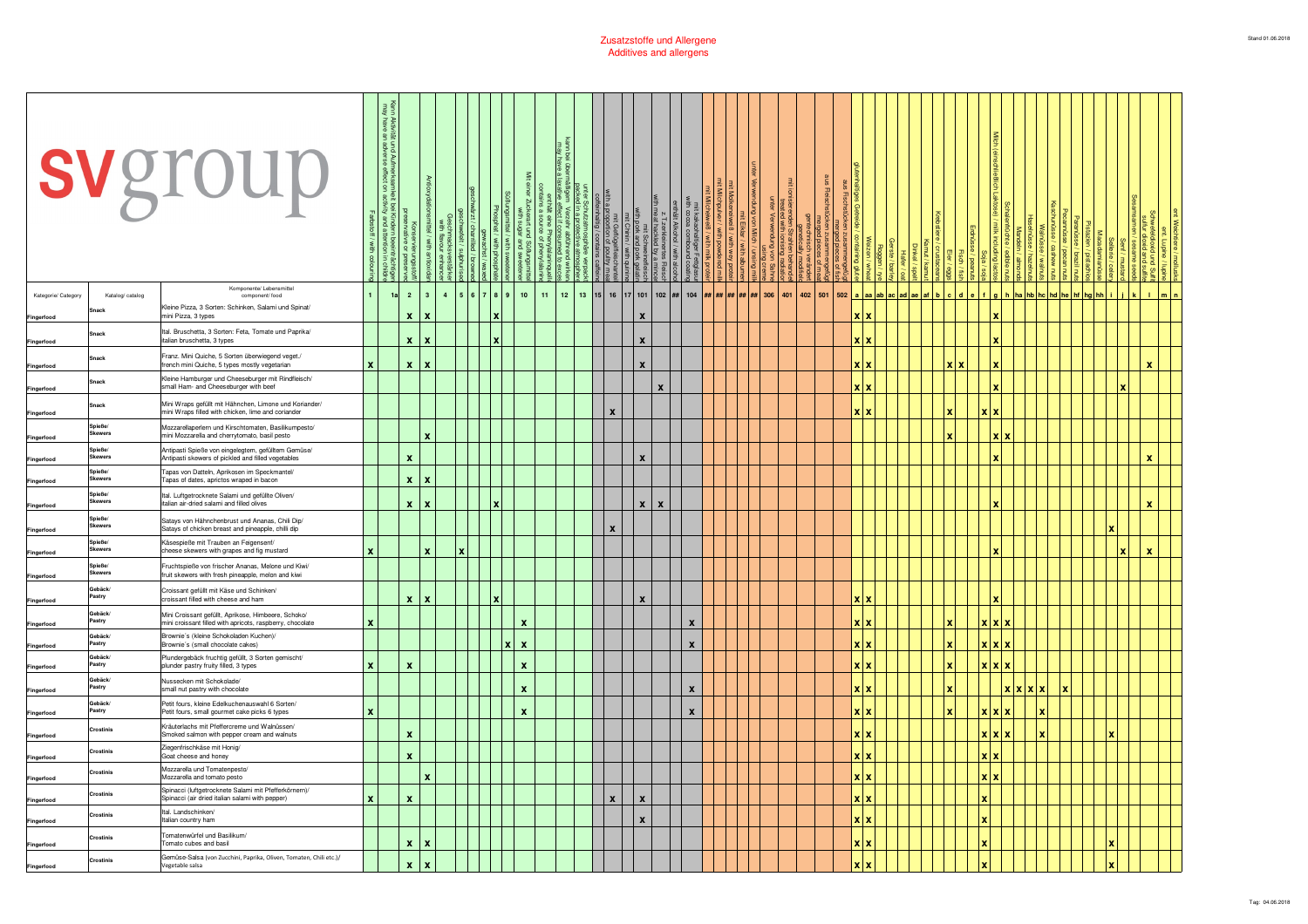|                     |                   | svgroup                                                                                                          |              | <b>BE</b><br>Aumerksam<br>erse effect on |                    |                         |   |           |              | $\leq$                    |        |    |                 | mit Geflügel<br>a proportion of ŗ<br>ieinhaltig / conta |                           | at hackled<br>mit Sch<br>pork and<br>l.g  |                                                         |  |  |             |     |            |               |  |              |              |              |            |                     |  |       |             |              |       |
|---------------------|-------------------|------------------------------------------------------------------------------------------------------------------|--------------|------------------------------------------|--------------------|-------------------------|---|-----------|--------------|---------------------------|--------|----|-----------------|---------------------------------------------------------|---------------------------|-------------------------------------------|---------------------------------------------------------|--|--|-------------|-----|------------|---------------|--|--------------|--------------|--------------|------------|---------------------|--|-------|-------------|--------------|-------|
| Kategorie/ Category | Katalog/ catalog  | Komponente/ Lebensmittel<br>component/ food                                                                      |              | 1a                                       | $\overline{2}$     | $\overline{\mathbf{3}}$ | 4 | 5 6 7 8 9 |              | 10 <sub>10</sub>          | $11 -$ | 12 | 13 15 16 17 101 |                                                         |                           |                                           | 102   ##   104   <mark>##   ##   ##   ##   306  </mark> |  |  | 401 402 501 | 502 |            | a laa lab lac |  |              |              |              |            | ha I hb I hc I hd I |  | halhh |             | $\mathbf{L}$ | Im In |
| Fingerfood          |                   | Kleine Pizza, 3 Sorten: Schinken, Salami und Spinat/<br>mini Pizza, 3 types                                      |              |                                          | $\mathbf{x}$       | $\mathbf{x}$            |   |           | ×            |                           |        |    |                 |                                                         | $\mathbf{x}$              |                                           |                                                         |  |  |             |     | xlx        |               |  |              |              |              |            |                     |  |       |             |              |       |
| Fingerfood          | Snack             | Ital. Bruschetta, 3 Sorten: Feta, Tomate und Paprika/<br>italian bruschetta, 3 types                             |              |                                          |                    | $x \mid x$              |   |           | ١x           |                           |        |    |                 |                                                         | $\boldsymbol{x}$          |                                           |                                                         |  |  |             |     | xıx        |               |  |              |              |              |            |                     |  |       |             |              |       |
| Fingerfood          | Snack             | Franz. Mini Quiche, 5 Sorten überwiegend veget./<br>french mini Quiche, 5 types mostly vegetarian                |              |                                          |                    | $x \mid x$              |   |           |              |                           |        |    |                 |                                                         | $\boldsymbol{x}$          |                                           |                                                         |  |  |             |     | xlx        |               |  |              |              |              |            |                     |  |       |             | $\mathbf{x}$ |       |
| Fingerfood          | Snack             | Kleine Hamburger und Cheeseburger mit Rindfleisch/<br>small Ham- and Cheeseburger with beef                      |              |                                          |                    |                         |   |           |              |                           |        |    |                 |                                                         |                           | X                                         |                                                         |  |  |             |     | xlx        |               |  |              |              |              |            |                     |  |       | $\mathbf x$ |              |       |
| Fingerfood          | inack             | Mini Wraps gefüllt mit Hähnchen, Limone und Koriander/<br>mini Wraps filled with chicken, lime and coriander     |              |                                          |                    |                         |   |           |              |                           |        |    |                 | $\boldsymbol{x}$                                        |                           |                                           |                                                         |  |  |             |     | xlx        |               |  |              |              | x x          |            |                     |  |       |             |              |       |
| Fingerfood          | Spieße/<br>kewers | Mozzarellaperlern und Kirschtomaten, Basilikumpesto/<br>mini Mozzarella and cherrytomato, basil pesto            |              |                                          |                    | x                       |   |           |              |                           |        |    |                 |                                                         |                           |                                           |                                                         |  |  |             |     |            |               |  |              |              | <b>XX</b>    |            |                     |  |       |             |              |       |
| Fingerfood          | Spieße/<br>kewers | Antipasti Spieße von eingelegtem, gefülltem Gemüse/<br>Antipasti skewers of pickled and filled vegetables        |              |                                          | x                  |                         |   |           |              |                           |        |    |                 |                                                         | $\boldsymbol{\mathsf{x}}$ |                                           |                                                         |  |  |             |     |            |               |  |              |              |              |            |                     |  |       |             | $\mathbf{x}$ |       |
| Fingerfood          | Spieße/<br>ewers  | Tapas von Datteln, Aprikosen im Speckmantel/<br>Tapas of dates, aprictos wraped in bacon                         |              |                                          |                    | $x \mid x$              |   |           |              |                           |        |    |                 |                                                         |                           |                                           |                                                         |  |  |             |     |            |               |  |              |              |              |            |                     |  |       |             |              |       |
| Fingerfood          | ieße/<br>kewers   | Ital. Luftgetrocknete Salami und gefüllte Oliven/<br>italian air-dried salami and filled olives                  |              |                                          | $\mathbf{x}$       | l X                     |   |           | l v          |                           |        |    |                 |                                                         |                           | $\mathbf{x}$<br>$\boldsymbol{\mathsf{x}}$ |                                                         |  |  |             |     |            |               |  |              |              |              |            |                     |  |       |             | $\mathbf{x}$ |       |
| Fingerfood          | Spieße/<br>ewers  | Satays von Hähnchenbrust und Ananas, Chili Dip/<br>Satays of chicken breast and pineapple, chilli dip            |              |                                          |                    |                         |   |           |              |                           |        |    |                 | $\boldsymbol{x}$                                        |                           |                                           |                                                         |  |  |             |     |            |               |  |              |              |              |            |                     |  |       |             |              |       |
| Fingerfood          | Spieße/<br>ewers  | Käsespieße mit Trauben an Feigensenf/<br>cheese skewers with grapes and fig mustard                              |              |                                          |                    | x                       |   |           |              |                           |        |    |                 |                                                         |                           |                                           |                                                         |  |  |             |     |            |               |  |              |              |              |            |                     |  |       | ١x          | $\mathbf x$  |       |
| Fingerfood          | Spieße/<br>ewers  | Fruchtspieße von frischer Ananas, Melone und Kiwi/<br>fruit skewers with fresh pineapple, melon and kiwi         |              |                                          |                    |                         |   |           |              |                           |        |    |                 |                                                         |                           |                                           |                                                         |  |  |             |     |            |               |  |              |              |              |            |                     |  |       |             |              |       |
| Fingerfood          | Gebäck/<br>Pastry | Croissant gefüllt mit Käse und Schinken<br>croissant filled with cheese and ham                                  |              |                                          |                    | $x \mid x$              |   |           |              |                           |        |    |                 |                                                         | $\boldsymbol{x}$          |                                           |                                                         |  |  |             |     | xlx        |               |  |              |              |              |            |                     |  |       |             |              |       |
| Fingerfood          | Gebäck/<br>Pastry | Mini Croissant gefüllt, Aprikose, Himbeere, Schoko/<br>mini croissant filled with apricots, raspberry, chocolate | $\mathbf{x}$ |                                          |                    |                         |   |           |              | $\boldsymbol{\mathsf{x}}$ |        |    |                 |                                                         |                           |                                           | $\mathbf{x}$                                            |  |  |             |     | xlx        |               |  |              |              | <b>xxx</b>   |            |                     |  |       |             |              |       |
| Fingerfood          | Gebäck/<br>astry  | Brownie's (kleine Schokoladen Kuchen)/<br>Brownie's (small chocolate cakes)                                      |              |                                          |                    |                         |   |           | $\mathbf{x}$ | $\mathbf{x}$              |        |    |                 |                                                         |                           |                                           | X                                                       |  |  |             |     | y I y      |               |  |              |              | <b>Y</b> Y Y |            |                     |  |       |             |              |       |
| Fingerfood          | Gebäck/<br>Pastry | Plundergebäck fruchtig gefüllt, 3 Sorten gemischt/<br>plunder pastry fruity filled, 3 types                      | $\mathbf{x}$ |                                          | $\pmb{\chi}$       |                         |   |           |              | $\boldsymbol{\mathsf{x}}$ |        |    |                 |                                                         |                           |                                           |                                                         |  |  |             |     | <b>x</b> x |               |  | ×            |              | <b>XXX</b>   |            |                     |  |       |             |              |       |
| Fingerfood          | Gebäck/<br>astry  | Nussecken mit Schokolade/<br>small nut pastry with chocolate                                                     |              |                                          |                    |                         |   |           |              | $\boldsymbol{x}$          |        |    |                 |                                                         |                           |                                           | X                                                       |  |  |             |     | xlx        |               |  |              |              |              | <b>xxx</b> | x                   |  |       |             |              |       |
| Fingerfood          | ebäck<br>Pastry   | Petit fours, kleine Edelkuchenauswahl 6 Sorten/<br>Petit fours, small gourmet cake picks 6 types                 |              |                                          |                    |                         |   |           |              | $\boldsymbol{x}$          |        |    |                 |                                                         |                           |                                           | X                                                       |  |  |             |     | <b>Y</b> Y |               |  | $\mathbf{x}$ |              | x x x        |            | x                   |  |       |             |              |       |
| Fingerfood          | Crostinis         | Kräuterlachs mit Pfeffercreme und Walnüssen/<br>Smoked salmon with pepper cream and walnuts                      |              |                                          | x                  |                         |   |           |              |                           |        |    |                 |                                                         |                           |                                           |                                                         |  |  |             |     | xlx        |               |  |              |              | x x          |            |                     |  |       |             |              |       |
| Fingerfood          | rostinis          | Ziegenfrischkäse mit Honig/<br>Goat cheese and honey                                                             |              |                                          | x                  |                         |   |           |              |                           |        |    |                 |                                                         |                           |                                           |                                                         |  |  |             |     | <b>XX</b>  |               |  |              |              | <b>XX</b>    |            |                     |  |       |             |              |       |
| Fingerfood          | Crostinis         | Mozzarella und Tomatenpesto/<br>Mozzarella and tomato pesto                                                      |              |                                          |                    | X                       |   |           |              |                           |        |    |                 |                                                         |                           |                                           |                                                         |  |  |             |     | <b>XX</b>  |               |  |              |              | xx           |            |                     |  |       |             |              |       |
| Fingerfood          | Crostinis         | Spinacci (luftgetrocknete Salami mit Pfefferkörnern)/<br>Spinacci (air dried italian salami with pepper)         |              |                                          | $\pmb{\mathsf{x}}$ |                         |   |           |              |                           |        |    |                 | $\boldsymbol{x}$                                        | $\boldsymbol{x}$          |                                           |                                                         |  |  |             |     | xlx        |               |  |              | x            |              |            |                     |  |       |             |              |       |
| Fingerfood          | Crostinis         | Ital. Landschinken/<br>Italian country ham                                                                       |              |                                          |                    |                         |   |           |              |                           |        |    |                 |                                                         |                           | $\mathbf{x}$                              |                                                         |  |  |             |     | xlx        |               |  |              | $\mathbf{x}$ |              |            |                     |  |       |             |              |       |
| Fingerfood          | ostinis           | Tomatenwürfel und Basilikum/<br>Tomato cubes and basil                                                           |              |                                          | $\pmb{\mathsf{x}}$ | ١x                      |   |           |              |                           |        |    |                 |                                                         |                           |                                           |                                                         |  |  |             |     | xlx        |               |  |              |              |              |            |                     |  |       |             |              |       |
| Fingerfood          | mstinis:          | Gemüse-Salsa (von Zucchini, Paprika, Oliven, Tomaten, Chili etc.)/<br>Vegetable salsa                            |              |                                          | $\pmb{\mathsf{x}}$ | <b>x</b>                |   |           |              |                           |        |    |                 |                                                         |                           |                                           |                                                         |  |  |             |     | xlx        |               |  |              |              |              |            |                     |  |       |             |              |       |
|                     |                   |                                                                                                                  |              |                                          |                    |                         |   |           |              |                           |        |    |                 |                                                         |                           |                                           |                                                         |  |  |             |     |            |               |  |              |              |              |            |                     |  |       |             |              |       |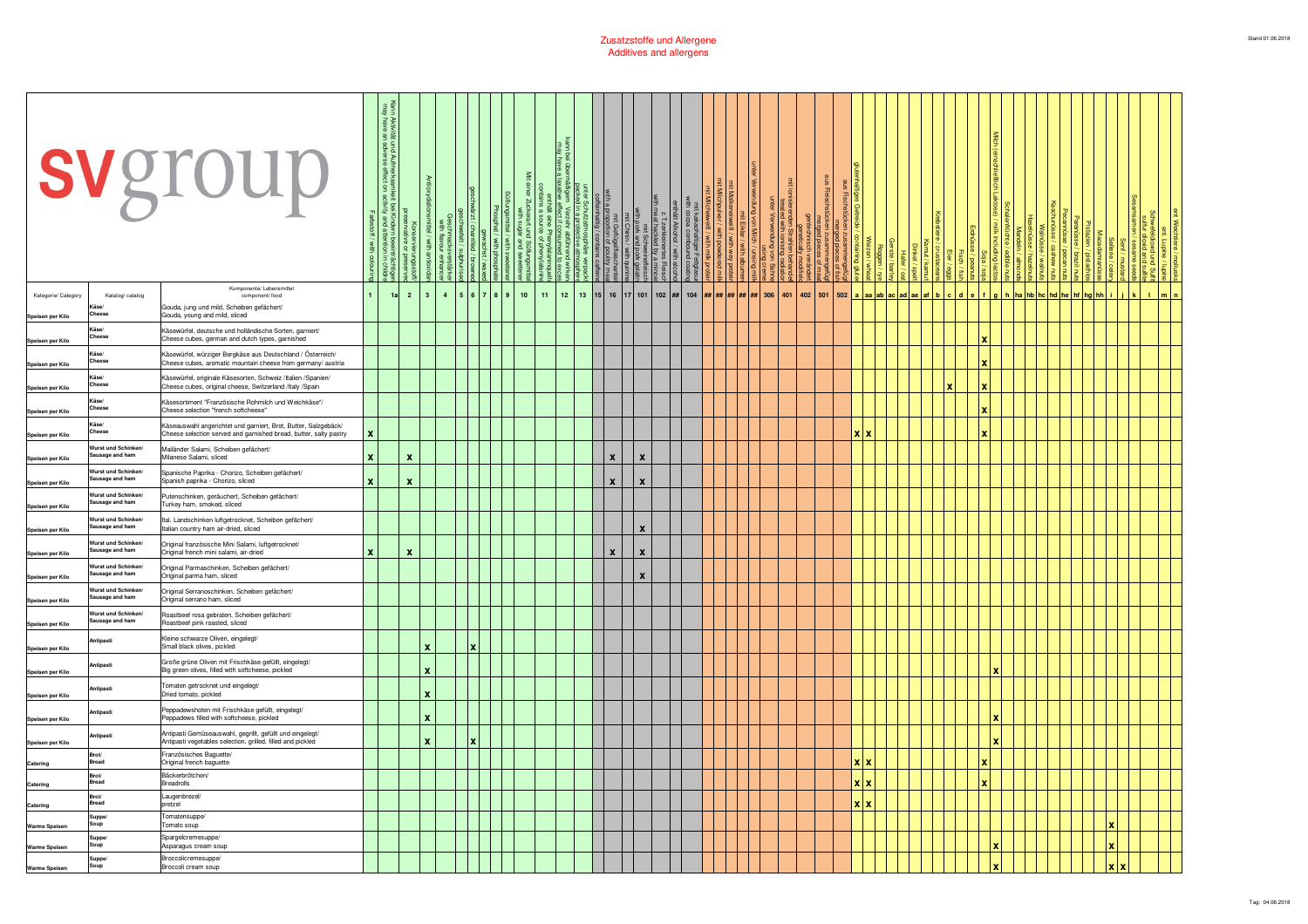|                                         |                                              | svgroup                                                                                                                              |   | und Aufmerksamk<br>adverse effect on |                    |                           |   |  |           | $\leq$           | t eine Phe<br>I source of |  | mit Geflügelflei:<br>1 a proportion of poul<br>fleinhaltig / contains | Chinin | at hackled by a mir<br>mit Schweineflei<br>1 pork and pork gel |  |                                                                              |  |  | ≣             |  |     |           |  |  |              |  |  |  |   |            |  |  |
|-----------------------------------------|----------------------------------------------|--------------------------------------------------------------------------------------------------------------------------------------|---|--------------------------------------|--------------------|---------------------------|---|--|-----------|------------------|---------------------------|--|-----------------------------------------------------------------------|--------|----------------------------------------------------------------|--|------------------------------------------------------------------------------|--|--|---------------|--|-----|-----------|--|--|--------------|--|--|--|---|------------|--|--|
| Kategorie/ Category<br>Speisen per Kilo | Katalog/ catalog                             | Komponente/ Lebensmittel<br>component/ food<br>Gouda, jung und mild, Scheiben gefächert/<br>Gouda, young and mild, sliced            |   | 1a                                   | $\overline{2}$     | l 3                       | 4 |  | 5 6 7 8 9 | 10 <sub>10</sub> | $11 -$                    |  |                                                                       |        |                                                                |  | 12   13   15   16   17   101   102   ##   104   ##   ##   ##   ##   ##   306 |  |  | $401$ 402 501 |  | 502 | $a$ $ aa$ |  |  |              |  |  |  |   |            |  |  |
| Speisen per Kilo                        | Cheese                                       | Käsewürfel, deutsche und holländische Sorten, garniert/<br>Cheese cubes, german and dutch types, garnished                           |   |                                      |                    |                           |   |  |           |                  |                           |  |                                                                       |        |                                                                |  |                                                                              |  |  |               |  |     |           |  |  | x            |  |  |  |   |            |  |  |
| Speisen per Kilo                        | Käse/<br>Chees                               | Käsewürfel, würziger Bergkäse aus Deutschland / Österreich/<br>Cheese cubes, aromatic mountain cheese from germany/ austria          |   |                                      |                    |                           |   |  |           |                  |                           |  |                                                                       |        |                                                                |  |                                                                              |  |  |               |  |     |           |  |  | ×            |  |  |  |   |            |  |  |
| Speisen per Kilo                        | Käse/<br>hees                                | Käsewürfel, originale Käsesorten, Schweiz /Italien /Spanien/<br>Cheese cubes, original cheese, Switzerland /Italy /Spain             |   |                                      |                    |                           |   |  |           |                  |                           |  |                                                                       |        |                                                                |  |                                                                              |  |  |               |  |     |           |  |  |              |  |  |  |   |            |  |  |
| Speisen per Kilo                        | äse/<br>Cheese                               | Käsesortiment "Französische Rohmilch und Weichkäse"/<br>Cheese selection "french softcheese"                                         |   |                                      |                    |                           |   |  |           |                  |                           |  |                                                                       |        |                                                                |  |                                                                              |  |  |               |  |     |           |  |  |              |  |  |  |   |            |  |  |
| Speisen per Kilo                        | Käse/<br>heese                               | Käseauswahl angerichtet und garniert, Brot, Butter, Salzgebäck/<br>Cheese selection served and garnished bread, butter, salty pastry |   |                                      |                    |                           |   |  |           |                  |                           |  |                                                                       |        |                                                                |  |                                                                              |  |  |               |  |     | xlx       |  |  |              |  |  |  |   |            |  |  |
| Speisen per Kilo                        | Wurst und Schinken<br>usage and ham          | Mailänder Salami, Scheiben gefächert/<br>Milanese Salami, sliced                                                                     | x |                                      | $\pmb{\mathsf{x}}$ |                           |   |  |           |                  |                           |  | $\mathbf{x}$                                                          |        | $\boldsymbol{x}$                                               |  |                                                                              |  |  |               |  |     |           |  |  |              |  |  |  |   |            |  |  |
| Speisen per Kilo                        | Wurst und Schinken<br>usage and ham          | Spanische Paprika - Chorizo, Scheiben gefächert/<br>Spanish paprika - Chorizo, sliced                                                | x |                                      | $\mathbf{x}$       |                           |   |  |           |                  |                           |  | $\mathbf{x}$                                                          |        | $\boldsymbol{x}$                                               |  |                                                                              |  |  |               |  |     |           |  |  |              |  |  |  |   |            |  |  |
| Speisen per Kilo                        | <b>Nurst und Schinken</b><br>Sausage and ham | utenschinken, geräuchert, Scheiben gefächert/<br>Turkey ham, smoked, sliced                                                          |   |                                      |                    |                           |   |  |           |                  |                           |  |                                                                       |        |                                                                |  |                                                                              |  |  |               |  |     |           |  |  |              |  |  |  |   |            |  |  |
| Speisen per Kilo                        | urst und Schinken<br>Sausage and ham         | Ital. Landschinken luftgetrocknet, Scheiben gefächert/<br>Italian country ham air-dried, sliced                                      |   |                                      |                    |                           |   |  |           |                  |                           |  |                                                                       |        | $\boldsymbol{x}$                                               |  |                                                                              |  |  |               |  |     |           |  |  |              |  |  |  |   |            |  |  |
| Speisen per Kilo                        | Wurst und Schinken<br>usage and ham          | Original französische Mini Salami, luftgetrocknet/<br>Original french mini salami, air-dried                                         |   |                                      | x                  |                           |   |  |           |                  |                           |  | $\mathbf{x}$                                                          |        | X                                                              |  |                                                                              |  |  |               |  |     |           |  |  |              |  |  |  |   |            |  |  |
| Speisen per Kilo                        | Vurst und Schinken/<br>usage and ham         | Original Parmaschinken, Scheiben gefächert/<br>Original parma ham, sliced                                                            |   |                                      |                    |                           |   |  |           |                  |                           |  |                                                                       |        | $\boldsymbol{x}$                                               |  |                                                                              |  |  |               |  |     |           |  |  |              |  |  |  |   |            |  |  |
| Speisen per Kilo                        | Wurst und Schinken/<br>ausage and ham        | Original Serranoschinken, Scheiben gefächert/<br>Original serrano ham, sliced                                                        |   |                                      |                    |                           |   |  |           |                  |                           |  |                                                                       |        |                                                                |  |                                                                              |  |  |               |  |     |           |  |  |              |  |  |  |   |            |  |  |
| Speisen per Kilo                        | Wurst und Schinken<br>usage and ham          | Roastbeef rosa gebraten, Scheiben gefächert/<br>Roastbeef pink roasted, sliced                                                       |   |                                      |                    |                           |   |  |           |                  |                           |  |                                                                       |        |                                                                |  |                                                                              |  |  |               |  |     |           |  |  |              |  |  |  |   |            |  |  |
| Speisen per Kilo                        | itipasti                                     | Kleine schwarze Oliven, eingelegt/<br>Small black olives, pickled                                                                    |   |                                      |                    | x                         |   |  |           |                  |                           |  |                                                                       |        |                                                                |  |                                                                              |  |  |               |  |     |           |  |  |              |  |  |  |   |            |  |  |
| Speisen per Kilo                        | ıtipasti                                     | Große grüne Oliven mit Frischkäse gefüllt, eingelegt/<br>Big green olives, filled with softcheese, pickled                           |   |                                      |                    | $\boldsymbol{\mathsf{x}}$ |   |  |           |                  |                           |  |                                                                       |        |                                                                |  |                                                                              |  |  |               |  |     |           |  |  |              |  |  |  |   |            |  |  |
| Speisen per Kilo                        | ıtipasti                                     | Tomaten getrocknet und eingelegt/<br>Dried tomato, pickled                                                                           |   |                                      |                    | $\boldsymbol{\mathsf{x}}$ |   |  |           |                  |                           |  |                                                                       |        |                                                                |  |                                                                              |  |  |               |  |     |           |  |  |              |  |  |  |   |            |  |  |
| Speisen per Kilo                        | ntipasti                                     | Peppadewshoten mit Frischkäse gefüllt, eingelegt/<br>Peppadews filled with softcheese, pickled                                       |   |                                      |                    | $\boldsymbol{\mathsf{x}}$ |   |  |           |                  |                           |  |                                                                       |        |                                                                |  |                                                                              |  |  |               |  |     |           |  |  |              |  |  |  |   |            |  |  |
| Speisen per Kilo                        | ntipast                                      | Antipasti Gemüseauswahl, gegrillt, gefüllt und eingelegt/<br>Antipasti vegetables selection, grilled, filled and pickled             |   |                                      |                    | $\boldsymbol{\mathsf{x}}$ |   |  |           |                  |                           |  |                                                                       |        |                                                                |  |                                                                              |  |  |               |  |     |           |  |  |              |  |  |  |   |            |  |  |
| Catering                                | Bread                                        | Französisches Baguette/<br>Original french baguette                                                                                  |   |                                      |                    |                           |   |  |           |                  |                           |  |                                                                       |        |                                                                |  |                                                                              |  |  |               |  |     |           |  |  | $\mathbf{v}$ |  |  |  |   |            |  |  |
| Catering                                | Brot/<br>Bread                               | Bäckerbrötchen/<br><b>Breadrolls</b>                                                                                                 |   |                                      |                    |                           |   |  |           |                  |                           |  |                                                                       |        |                                                                |  |                                                                              |  |  |               |  |     | xlx       |  |  | ×            |  |  |  |   |            |  |  |
| Catering                                | Brot<br><b>Bread</b>                         | Laugenbrezel<br>pretzel                                                                                                              |   |                                      |                    |                           |   |  |           |                  |                           |  |                                                                       |        |                                                                |  |                                                                              |  |  |               |  |     | xlx       |  |  |              |  |  |  |   |            |  |  |
| Warme Speisen                           | Suppe/<br>Soup                               | Tomatensuppe/<br>Tomato soup                                                                                                         |   |                                      |                    |                           |   |  |           |                  |                           |  |                                                                       |        |                                                                |  |                                                                              |  |  |               |  |     |           |  |  |              |  |  |  |   |            |  |  |
| Warme Speisen                           | Suppe<br>Soup                                | Spargelcremesuppe/<br>Asparagus cream soup                                                                                           |   |                                      |                    |                           |   |  |           |                  |                           |  |                                                                       |        |                                                                |  |                                                                              |  |  |               |  |     |           |  |  |              |  |  |  | × |            |  |  |
| Warme Speisen                           | <b>Supper</b><br>Soup                        | Broccolicremesuppe/<br>Broccoli cream soup                                                                                           |   |                                      |                    |                           |   |  |           |                  |                           |  |                                                                       |        |                                                                |  |                                                                              |  |  |               |  |     |           |  |  |              |  |  |  |   | <b>Y</b> Y |  |  |